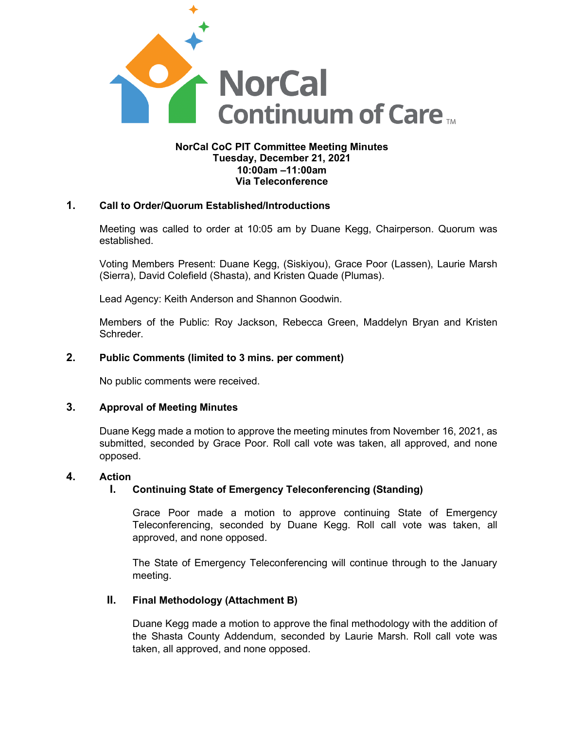

### **NorCal CoC PIT Committee Meeting Minutes Tuesday, December 21, 2021 10:00am –11:00am Via Teleconference**

# **1. Call to Order/Quorum Established/Introductions**

Meeting was called to order at 10:05 am by Duane Kegg, Chairperson. Quorum was established.

Voting Members Present: Duane Kegg, (Siskiyou), Grace Poor (Lassen), Laurie Marsh (Sierra), David Colefield (Shasta), and Kristen Quade (Plumas).

Lead Agency: Keith Anderson and Shannon Goodwin.

Members of the Public: Roy Jackson, Rebecca Green, Maddelyn Bryan and Kristen Schreder.

## **2. Public Comments (limited to 3 mins. per comment)**

No public comments were received.

## **3. Approval of Meeting Minutes**

Duane Kegg made a motion to approve the meeting minutes from November 16, 2021, as submitted, seconded by Grace Poor. Roll call vote was taken, all approved, and none opposed.

#### **4. Action**

#### **I. Continuing State of Emergency Teleconferencing (Standing)**

Grace Poor made a motion to approve continuing State of Emergency Teleconferencing, seconded by Duane Kegg. Roll call vote was taken, all approved, and none opposed.

The State of Emergency Teleconferencing will continue through to the January meeting.

#### **II. Final Methodology (Attachment B)**

Duane Kegg made a motion to approve the final methodology with the addition of the Shasta County Addendum, seconded by Laurie Marsh. Roll call vote was taken, all approved, and none opposed.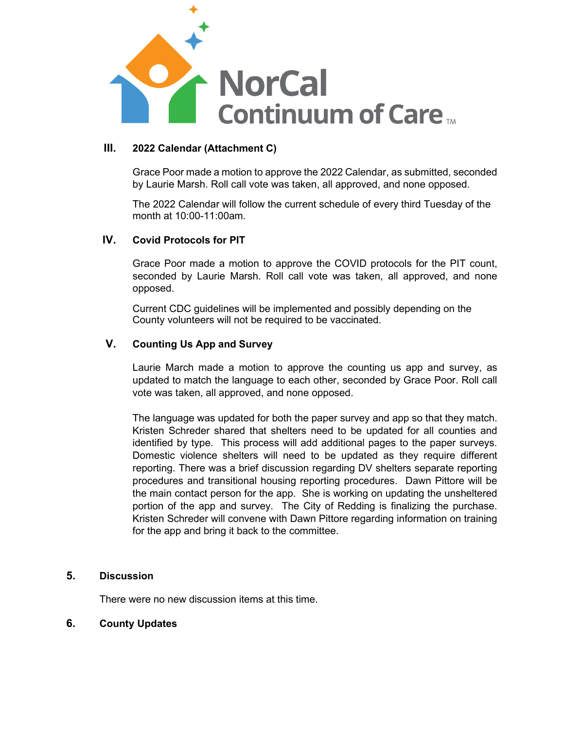

## **III. 2022 Calendar (Attachment C)**

Grace Poor made a motion to approve the 2022 Calendar, as submitted, seconded by Laurie Marsh. Roll call vote was taken, all approved, and none opposed.

The 2022 Calendar will follow the current schedule of every third Tuesday of the month at 10:00-11:00am.

# **IV. Covid Protocols for PIT**

Grace Poor made a motion to approve the COVID protocols for the PIT count, seconded by Laurie Marsh. Roll call vote was taken, all approved, and none opposed.

Current CDC guidelines will be implemented and possibly depending on the County volunteers will not be required to be vaccinated.

# **V. Counting Us App and Survey**

Laurie March made a motion to approve the counting us app and survey, as updated to match the language to each other, seconded by Grace Poor. Roll call vote was taken, all approved, and none opposed.

The language was updated for both the paper survey and app so that they match. Kristen Schreder shared that shelters need to be updated for all counties and identified by type. This process will add additional pages to the paper surveys. Domestic violence shelters will need to be updated as they require different reporting. There was a brief discussion regarding DV shelters separate reporting procedures and transitional housing reporting procedures. Dawn Pittore will be the main contact person for the app. She is working on updating the unsheltered portion of the app and survey. The City of Redding is finalizing the purchase. Kristen Schreder will convene with Dawn Pittore regarding information on training for the app and bring it back to the committee.

#### **5. Discussion**

There were no new discussion items at this time.

## **6. County Updates**